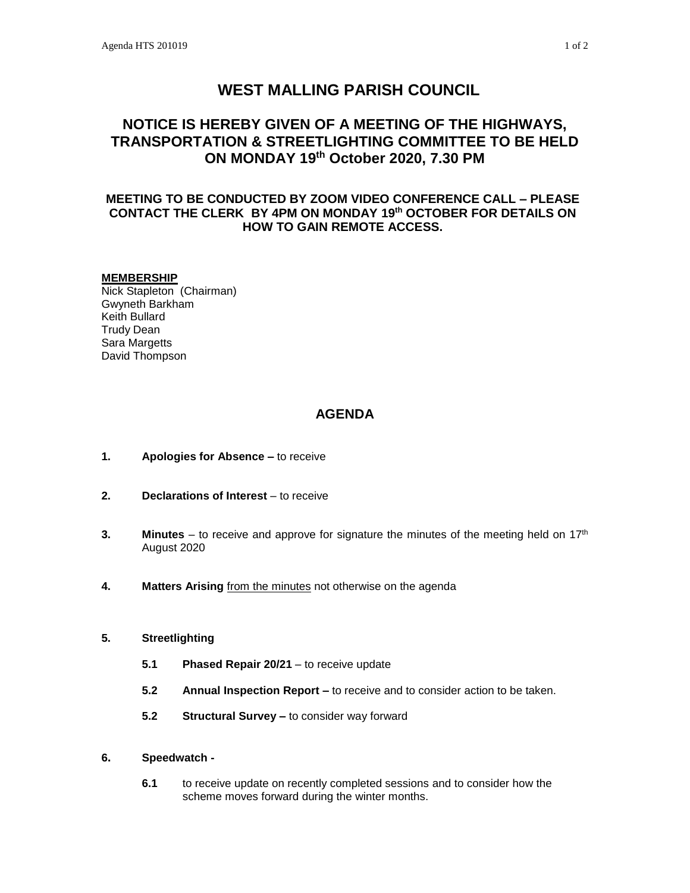# **WEST MALLING PARISH COUNCIL**

# **NOTICE IS HEREBY GIVEN OF A MEETING OF THE HIGHWAYS, TRANSPORTATION & STREETLIGHTING COMMITTEE TO BE HELD ON MONDAY 19th October 2020, 7.30 PM**

## **MEETING TO BE CONDUCTED BY ZOOM VIDEO CONFERENCE CALL – PLEASE CONTACT THE CLERK BY 4PM ON MONDAY 19th OCTOBER FOR DETAILS ON HOW TO GAIN REMOTE ACCESS.**

#### **MEMBERSHIP**

Nick Stapleton (Chairman) Gwyneth Barkham Keith Bullard Trudy Dean Sara Margetts David Thompson

## **AGENDA**

- **1. Apologies for Absence –** to receive
- **2. Declarations of Interest** to receive
- **3. Minutes** to receive and approve for signature the minutes of the meeting held on 17<sup>th</sup> August 2020
- **4. Matters Arising** from the minutes not otherwise on the agenda

### **5. Streetlighting**

- **5.1 Phased Repair 20/21** to receive update
- **5.2 Annual Inspection Report –** to receive and to consider action to be taken.
- **5.2 Structural Survey –** to consider way forward

### **6. Speedwatch -**

**6.1** to receive update on recently completed sessions and to consider how the scheme moves forward during the winter months.